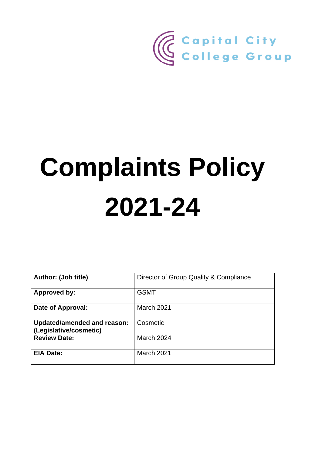

# **Complaints Policy 2021-24**

| <b>Author: (Job title)</b>                            | Director of Group Quality & Compliance |
|-------------------------------------------------------|----------------------------------------|
| <b>Approved by:</b>                                   | <b>GSMT</b>                            |
| Date of Approval:                                     | <b>March 2021</b>                      |
| Updated/amended and reason:<br>(Legislative/cosmetic) | Cosmetic                               |
| <b>Review Date:</b>                                   | March 2024                             |
| <b>EIA Date:</b>                                      | March 2021                             |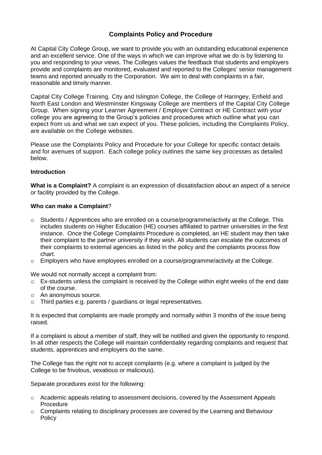# **Complaints Policy and Procedure**

At Capital City College Group, we want to provide you with an outstanding educational experience and an excellent service. One of the ways in which we can improve what we do is by listening to you and responding to your views. The Colleges values the feedback that students and employers provide and complaints are monitored, evaluated and reported to the Colleges' senior management teams and reported annually to the Corporation. We aim to deal with complaints in a fair, reasonable and timely manner.

Capital City College Training, City and Islington College, the College of Haringey, Enfield and North East London and Westminster Kingsway College are members of the Capital City College Group. When signing your Learner Agreement / Employer Contract or HE Contract with your college you are agreeing to the Group's policies and procedures which outline what you can expect from us and what we can expect of you. These policies, including the Complaints Policy, are available on the College websites.

Please use the Complaints Policy and Procedure for your College for specific contact details and for avenues of support. Each college policy outlines the same key processes as detailed below.

#### **Introduction**

**What is a Complaint?** A complaint is an expression of dissatisfaction about an aspect of a service or facility provided by the College.

#### **Who can make a Complaint**?

- $\circ$  Students / Apprentices who are enrolled on a course/programme/activity at the College. This includes students on Higher Education (HE) courses affiliated to partner universities in the first instance. Once the College Complaints Procedure is completed, an HE student may then take their complaint to the partner university if they wish. All students can escalate the outcomes of their complaints to external agencies as listed in the policy and the complaints process flow chart.
- $\circ$  Employers who have employees enrolled on a course/programme/activity at the College.

We would not normally accept a complaint from:

- o Ex-students unless the complaint is received by the College within eight weeks of the end date of the course.
- o An anonymous source.
- o Third parties e.g. parents / guardians or legal representatives.

It is expected that complaints are made promptly and normally within 3 months of the issue being raised.

If a complaint is about a member of staff, they will be notified and given the opportunity to respond. In all other respects the College will maintain confidentiality regarding complaints and request that students, apprentices and employers do the same.

The College has the right not to accept complaints (e.g. where a complaint is judged by the College to be frivolous, vexatious or malicious).

Separate procedures exist for the following:

- o Academic appeals relating to assessment decisions, covered by the Assessment Appeals Procedure
- $\circ$  Complaints relating to disciplinary processes are covered by the Learning and Behaviour Policy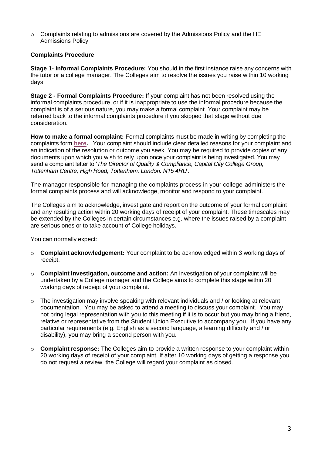$\circ$  Complaints relating to admissions are covered by the Admissions Policy and the HE Admissions Policy

## **Complaints Procedure**

**Stage 1- Informal Complaints Procedure:** You should in the first instance raise any concerns with the tutor or a college manager. The Colleges aim to resolve the issues you raise within 10 working days.

**Stage 2 - Formal Complaints Procedure:** If your complaint has not been resolved using the informal complaints procedure, or if it is inappropriate to use the informal procedure because the complaint is of a serious nature, you may make a formal complaint. Your complaint may be referred back to the informal complaints procedure if you skipped that stage without due consideration.

**How to make a formal complaint:** Formal complaints must be made in writing by completing the complaints form **[here.](https://cccg.me/CCCG-Feedback)** Your complaint should include clear detailed reasons for your complaint and an indication of the resolution or outcome you seek. You may be required to provide copies of any documents upon which you wish to rely upon once your complaint is being investigated. You may send a complaint letter to '*The Director of Quality & Compliance, Capital City College Group, Tottenham Centre, High Road, Tottenham. London. N15 4RU'*.

The manager responsible for managing the complaints process in your college administers the formal complaints process and will acknowledge, monitor and respond to your complaint.

The Colleges aim to acknowledge, investigate and report on the outcome of your formal complaint and any resulting action within 20 working days of receipt of your complaint. These timescales may be extended by the Colleges in certain circumstances e.g. where the issues raised by a complaint are serious ones or to take account of College holidays.

You can normally expect:

- o **Complaint acknowledgement:** Your complaint to be acknowledged within 3 working days of receipt.
- o **Complaint investigation, outcome and action:** An investigation of your complaint will be undertaken by a College manager and the College aims to complete this stage within 20 working days of receipt of your complaint.
- o The investigation may involve speaking with relevant individuals and / or looking at relevant documentation. You may be asked to attend a meeting to discuss your complaint. You may not bring legal representation with you to this meeting if it is to occur but you may bring a friend, relative or representative from the Student Union Executive to accompany you. If you have any particular requirements (e.g. English as a second language, a learning difficulty and / or disability), you may bring a second person with you.
- o **Complaint response:** The Colleges aim to provide a written response to your complaint within 20 working days of receipt of your complaint. If after 10 working days of getting a response you do not request a review, the College will regard your complaint as closed.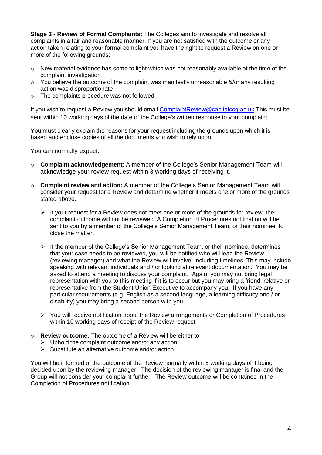**Stage 3 - Review of Formal Complaints:** The Colleges aim to investigate and resolve all complaints in a fair and reasonable manner. If you are not satisfied with the outcome or any action taken relating to your formal complaint you have the right to request a Review on one or more of the following grounds:

- $\circ$  New material evidence has come to light which was not reasonably available at the time of the complaint investigation
- $\circ$  You believe the outcome of the complaint was manifestly unreasonable &/or any resulting action was disproportionate
- o The complaints procedure was not followed.

If you wish to request a Review you should email [ComplaintReview@capitalccg.ac.uk](mailto:ComplaintReview@capitalccg.ac.uk) This must be sent within 10 working days of the date of the College's written response to your complaint.

You must clearly explain the reasons for your request including the grounds upon which it is based and enclose copies of all the documents you wish to rely upon.

You can normally expect:

- o **Complaint acknowledgement**: A member of the College's Senior Management Team will acknowledge your review request within 3 working days of receiving it.
- o **Complaint review and action:** A member of the College's Senior Management Team will consider your request for a Review and determine whether it meets one or more of the grounds stated above.
	- $\triangleright$  If your request for a Review does not meet one or more of the grounds for review, the complaint outcome will not be reviewed. A Completion of Procedures notification will be sent to you by a member of the College's Senior Management Team, or their nominee, to close the matter.
	- $\triangleright$  If the member of the College's Senior Management Team, or their nominee, determines that your case needs to be reviewed, you will be notified who will lead the Review (reviewing manager) and what the Review will involve, including timelines. This may include speaking with relevant individuals and / or looking at relevant documentation. You may be asked to attend a meeting to discuss your complaint. Again, you may not bring legal representation with you to this meeting if it is to occur but you may bring a friend, relative or representative from the Student Union Executive to accompany you. If you have any particular requirements (e.g. English as a second language, a learning difficulty and / or disability) you may bring a second person with you.
	- ➢ You will receive notification about the Review arrangements or Completion of Procedures within 10 working days of receipt of the Review request.
- o **Review outcome:** The outcome of a Review will be either to:
	- $\triangleright$  Uphold the complaint outcome and/or any action
	- ➢ Substitute an alternative outcome and/or action.

You will be informed of the outcome of the Review normally within 5 working days of it being decided upon by the reviewing manager. The decision of the reviewing manager is final and the Group will not consider your complaint further. The Review outcome will be contained in the Completion of Procedures notification.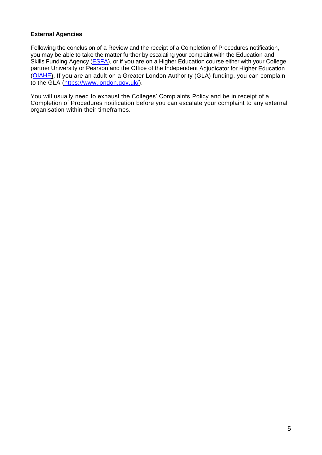## **External Agencies**

Following the conclusion of a Review and the receipt of a Completion of Procedures notification, you may be able to take the matter further by escalating your complaint with the Education and Skills Funding Agency (**ESFA**), or if you are on a Higher Education course either with your College partner University or Pearson and the Office of the Independent Adjudicator for Higher Education [\(OIAHE\)](https://www.oiahe.org.uk/students/how-to-complain-to-us/). If you are an adult on a Greater London Authority (GLA) funding, you can complain to the GLA [\(https://www.london.gov.uk/\)](https://www.london.gov.uk/what-we-do/skills-and-employment/skills-londoners/adult-education-budget/guidance-learner-complaints).

You will usually need to exhaust the Colleges' Complaints Policy and be in receipt of a Completion of Procedures notification before you can escalate your complaint to any external organisation within their timeframes.